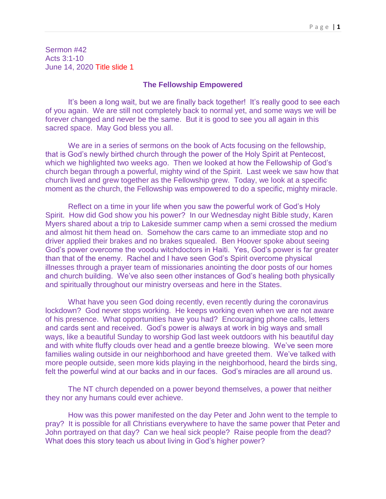Sermon #42 Acts 3:1-10 June 14, 2020 Title slide 1

## **The Fellowship Empowered**

It's been a long wait, but we are finally back together! It's really good to see each of you again. We are still not completely back to normal yet, and some ways we will be forever changed and never be the same. But it is good to see you all again in this sacred space. May God bless you all.

We are in a series of sermons on the book of Acts focusing on the fellowship, that is God's newly birthed church through the power of the Holy Spirit at Pentecost, which we highlighted two weeks ago. Then we looked at how the Fellowship of God's church began through a powerful, mighty wind of the Spirit. Last week we saw how that church lived and grew together as the Fellowship grew. Today, we look at a specific moment as the church, the Fellowship was empowered to do a specific, mighty miracle.

Reflect on a time in your life when you saw the powerful work of God's Holy Spirit. How did God show you his power? In our Wednesday night Bible study, Karen Myers shared about a trip to Lakeside summer camp when a semi crossed the medium and almost hit them head on. Somehow the cars came to an immediate stop and no driver applied their brakes and no brakes squealed. Ben Hoover spoke about seeing God's power overcome the voodu witchdoctors in Haiti. Yes, God's power is far greater than that of the enemy. Rachel and I have seen God's Spirit overcome physical illnesses through a prayer team of missionaries anointing the door posts of our homes and church building. We've also seen other instances of God's healing both physically and spiritually throughout our ministry overseas and here in the States.

What have you seen God doing recently, even recently during the coronavirus lockdown? God never stops working. He keeps working even when we are not aware of his presence. What opportunities have you had? Encouraging phone calls, letters and cards sent and received. God's power is always at work in big ways and small ways, like a beautiful Sunday to worship God last week outdoors with his beautiful day and with white fluffy clouds over head and a gentle breeze blowing. We've seen more families waling outside in our neighborhood and have greeted them. We've talked with more people outside, seen more kids playing in the neighborhood, heard the birds sing, felt the powerful wind at our backs and in our faces. God's miracles are all around us.

The NT church depended on a power beyond themselves, a power that neither they nor any humans could ever achieve.

How was this power manifested on the day Peter and John went to the temple to pray? It is possible for all Christians everywhere to have the same power that Peter and John portrayed on that day? Can we heal sick people? Raise people from the dead? What does this story teach us about living in God's higher power?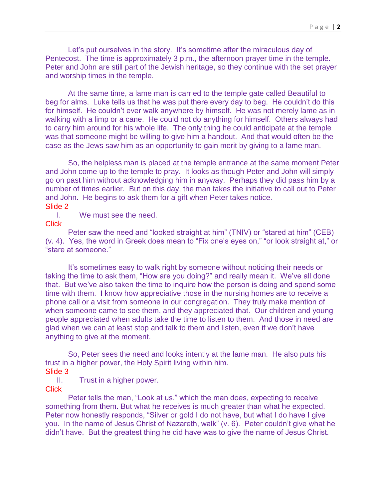Let's put ourselves in the story. It's sometime after the miraculous day of Pentecost. The time is approximately 3 p.m., the afternoon prayer time in the temple. Peter and John are still part of the Jewish heritage, so they continue with the set prayer and worship times in the temple.

At the same time, a lame man is carried to the temple gate called Beautiful to beg for alms. Luke tells us that he was put there every day to beg. He couldn't do this for himself. He couldn't ever walk anywhere by himself. He was not merely lame as in walking with a limp or a cane. He could not do anything for himself. Others always had to carry him around for his whole life. The only thing he could anticipate at the temple was that someone might be willing to give him a handout. And that would often be the case as the Jews saw him as an opportunity to gain merit by giving to a lame man.

So, the helpless man is placed at the temple entrance at the same moment Peter and John come up to the temple to pray. It looks as though Peter and John will simply go on past him without acknowledging him in anyway. Perhaps they did pass him by a number of times earlier. But on this day, the man takes the initiative to call out to Peter and John. He begins to ask them for a gift when Peter takes notice. Slide 2

I. We must see the need.

**Click** 

Peter saw the need and "looked straight at him" (TNIV) or "stared at him" (CEB) (v. 4). Yes, the word in Greek does mean to "Fix one's eyes on," "or look straight at," or "stare at someone."

It's sometimes easy to walk right by someone without noticing their needs or taking the time to ask them, "How are you doing?" and really mean it. We've all done that. But we've also taken the time to inquire how the person is doing and spend some time with them. I know how appreciative those in the nursing homes are to receive a phone call or a visit from someone in our congregation. They truly make mention of when someone came to see them, and they appreciated that. Our children and young people appreciated when adults take the time to listen to them. And those in need are glad when we can at least stop and talk to them and listen, even if we don't have anything to give at the moment.

So, Peter sees the need and looks intently at the lame man. He also puts his trust in a higher power, the Holy Spirit living within him. Slide 3

II. Trust in a higher power.

**Click** 

Peter tells the man, "Look at us," which the man does, expecting to receive something from them. But what he receives is much greater than what he expected. Peter now honestly responds, "Silver or gold I do not have, but what I do have I give you. In the name of Jesus Christ of Nazareth, walk" (v. 6). Peter couldn't give what he didn't have. But the greatest thing he did have was to give the name of Jesus Christ.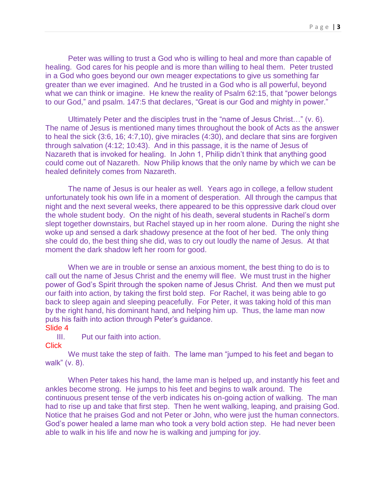Peter was willing to trust a God who is willing to heal and more than capable of healing. God cares for his people and is more than willing to heal them. Peter trusted in a God who goes beyond our own meager expectations to give us something far greater than we ever imagined. And he trusted in a God who is all powerful, beyond what we can think or imagine. He knew the reality of Psalm 62:15, that "power belongs" to our God," and psalm. 147:5 that declares, "Great is our God and mighty in power."

Ultimately Peter and the disciples trust in the "name of Jesus Christ…" (v. 6). The name of Jesus is mentioned many times throughout the book of Acts as the answer to heal the sick (3:6, 16; 4:7,10), give miracles (4:30), and declare that sins are forgiven through salvation (4:12; 10:43). And in this passage, it is the name of Jesus of Nazareth that is invoked for healing. In John 1, Philip didn't think that anything good could come out of Nazareth. Now Philip knows that the only name by which we can be healed definitely comes from Nazareth.

The name of Jesus is our healer as well. Years ago in college, a fellow student unfortunately took his own life in a moment of desperation. All through the campus that night and the next several weeks, there appeared to be this oppressive dark cloud over the whole student body. On the night of his death, several students in Rachel's dorm slept together downstairs, but Rachel stayed up in her room alone. During the night she woke up and sensed a dark shadowy presence at the foot of her bed. The only thing she could do, the best thing she did, was to cry out loudly the name of Jesus. At that moment the dark shadow left her room for good.

When we are in trouble or sense an anxious moment, the best thing to do is to call out the name of Jesus Christ and the enemy will flee. We must trust in the higher power of God's Spirit through the spoken name of Jesus Christ. And then we must put our faith into action, by taking the first bold step. For Rachel, it was being able to go back to sleep again and sleeping peacefully. For Peter, it was taking hold of this man by the right hand, his dominant hand, and helping him up. Thus, the lame man now puts his faith into action through Peter's guidance.

## Slide 4

III. Put our faith into action.

## **Click**

We must take the step of faith. The lame man "jumped to his feet and began to walk" (v. 8).

When Peter takes his hand, the lame man is helped up, and instantly his feet and ankles become strong. He jumps to his feet and begins to walk around. The continuous present tense of the verb indicates his on-going action of walking. The man had to rise up and take that first step. Then he went walking, leaping, and praising God. Notice that he praises God and not Peter or John, who were just the human connectors. God's power healed a lame man who took a very bold action step. He had never been able to walk in his life and now he is walking and jumping for joy.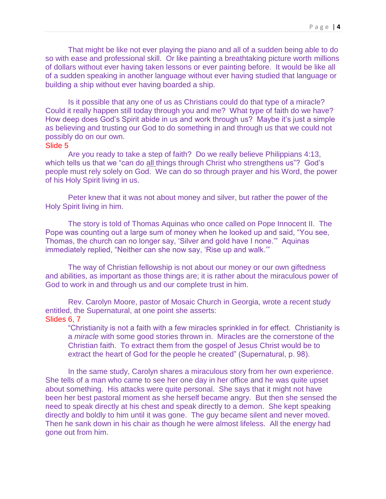That might be like not ever playing the piano and all of a sudden being able to do so with ease and professional skill. Or like painting a breathtaking picture worth millions of dollars without ever having taken lessons or ever painting before. It would be like all of a sudden speaking in another language without ever having studied that language or building a ship without ever having boarded a ship.

Is it possible that any one of us as Christians could do that type of a miracle? Could it really happen still today through you and me? What type of faith do we have? How deep does God's Spirit abide in us and work through us? Maybe it's just a simple as believing and trusting our God to do something in and through us that we could not possibly do on our own.

## Slide 5

Are you ready to take a step of faith? Do we really believe Philippians 4:13, which tells us that we "can do all things through Christ who strengthens us"? God's people must rely solely on God. We can do so through prayer and his Word, the power of his Holy Spirit living in us.

Peter knew that it was not about money and silver, but rather the power of the Holy Spirit living in him.

The story is told of Thomas Aquinas who once called on Pope Innocent II. The Pope was counting out a large sum of money when he looked up and said, "You see, Thomas, the church can no longer say, 'Silver and gold have I none.'" Aquinas immediately replied, "Neither can she now say, 'Rise up and walk.'"

The way of Christian fellowship is not about our money or our own giftedness and abilities, as important as those things are; it is rather about the miraculous power of God to work in and through us and our complete trust in him.

Rev. Carolyn Moore, pastor of Mosaic Church in Georgia, wrote a recent study entitled, the Supernatural, at one point she asserts: Slides 6, 7

"Christianity is not a faith with a few miracles sprinkled in for effect. Christianity is a *miracle* with some good stories thrown in. Miracles are the cornerstone of the Christian faith. To extract them from the gospel of Jesus Christ would be to extract the heart of God for the people he created" (Supernatural, p. 98).

In the same study, Carolyn shares a miraculous story from her own experience. She tells of a man who came to see her one day in her office and he was quite upset about something. His attacks were quite personal. She says that it might not have been her best pastoral moment as she herself became angry. But then she sensed the need to speak directly at his chest and speak directly to a demon. She kept speaking directly and boldly to him until it was gone. The guy became silent and never moved. Then he sank down in his chair as though he were almost lifeless. All the energy had gone out from him.